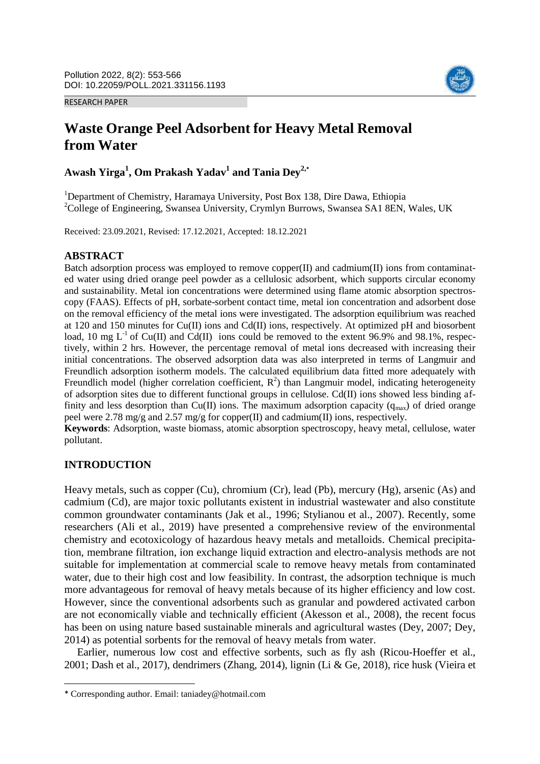RESEARCH PAPER



# **Waste Orange Peel Adsorbent for Heavy Metal Removal from Water**

**Awash Yirga<sup>1</sup> , Om Prakash Yadav<sup>1</sup> and Tania Dey2,\***

<sup>1</sup>Department of Chemistry, Haramaya University, Post Box 138, Dire Dawa, Ethiopia <sup>2</sup>College of Engineering, Swansea University, Crymlyn Burrows, Swansea SA1 8EN, Wales, UK

Received: 23.09.2021, Revised: 17.12.2021, Accepted: 18.12.2021

### **ABSTRACT**

Batch adsorption process was employed to remove copper $(II)$  and cadmium $(II)$  ions from contaminated water using dried orange peel powder as a cellulosic adsorbent, which supports circular economy and sustainability. Metal ion concentrations were determined using flame atomic absorption spectroscopy (FAAS). Effects of pH, sorbate-sorbent contact time, metal ion concentration and adsorbent dose on the removal efficiency of the metal ions were investigated. The adsorption equilibrium was reached at 120 and 150 minutes for Cu(II) ions and Cd(II) ions, respectively. At optimized pH and biosorbent load, 10 mg  $L^{-1}$  of Cu(II) and Cd(II) ions could be removed to the extent 96.9% and 98.1%, respectively, within 2 hrs. However, the percentage removal of metal ions decreased with increasing their initial concentrations. The observed adsorption data was also interpreted in terms of Langmuir and Freundlich adsorption isotherm models. The calculated equilibrium data fitted more adequately with Freundlich model (higher correlation coefficient,  $R^2$ ) than Langmuir model, indicating heterogeneity of adsorption sites due to different functional groups in cellulose. Cd(II) ions showed less binding affinity and less desorption than Cu(II) ions. The maximum adsorption capacity ( $q_{\text{max}}$ ) of dried orange peel were 2.78 mg/g and 2.57 mg/g for copper(II) and cadmium(II) ions, respectively.

**Keywords**: Adsorption, waste biomass, atomic absorption spectroscopy, heavy metal, cellulose, water pollutant.

# **INTRODUCTION**

 $\overline{\phantom{a}}$ 

Heavy metals, such as copper (Cu), chromium (Cr), lead (Pb), mercury (Hg), arsenic (As) and cadmium (Cd), are major toxic pollutants existent in industrial wastewater and also constitute common groundwater contaminants (Jak et al., 1996; Stylianou et al., 2007). Recently, some researchers (Ali et al., 2019) have presented a comprehensive review of the environmental chemistry and ecotoxicology of hazardous heavy metals and metalloids. Chemical precipitation, membrane filtration, ion exchange liquid extraction and electro-analysis methods are not suitable for implementation at commercial scale to remove heavy metals from contaminated water, due to their high cost and low feasibility. In contrast, the adsorption technique is much more advantageous for removal of heavy metals because of its higher efficiency and low cost. However, since the conventional adsorbents such as granular and powdered activated carbon are not economically viable and technically efficient (Akesson et al., 2008), the recent focus has been on using nature based sustainable minerals and agricultural wastes (Dey, 2007; Dey, 2014) as potential sorbents for the removal of heavy metals from water.

Earlier, numerous low cost and effective sorbents, such as fly ash (Ricou-Hoeffer et al., 2001; Dash et al., 2017), dendrimers (Zhang, 2014), lignin (Li & Ge, 2018), rice husk (Vieira et

<sup>\*</sup> Corresponding author. Email: taniadey@hotmail.com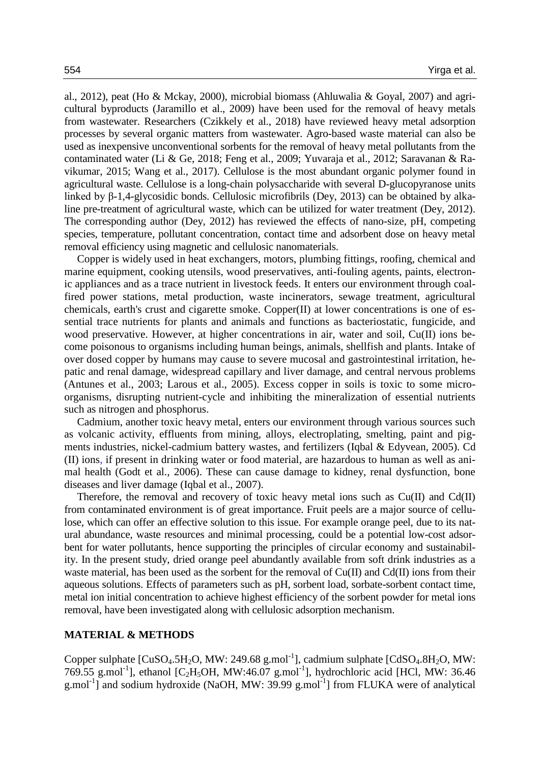al., 2012), peat (Ho & Mckay, 2000), microbial biomass (Ahluwalia & Goyal, 2007) and agricultural byproducts (Jaramillo et al., 2009) have been used for the removal of heavy metals from wastewater. Researchers (Czikkely et al., 2018) have reviewed heavy metal adsorption processes by several organic matters from wastewater. Agro-based waste material can also be used as inexpensive unconventional sorbents for the removal of heavy metal pollutants from the contaminated water (Li & Ge, 2018; Feng et al., 2009; Yuvaraja et al., 2012; Saravanan & Ravikumar, 2015; Wang et al., 2017). Cellulose is the most abundant organic polymer found in agricultural waste. Cellulose is a long-chain polysaccharide with several D-glucopyranose units linked by β-1,4-glycosidic bonds. Cellulosic microfibrils (Dey, 2013) can be obtained by alkaline pre-treatment of agricultural waste, which can be utilized for water treatment (Dey, 2012). The corresponding author (Dey, 2012) has reviewed the effects of nano-size, pH, competing species, temperature, pollutant concentration, contact time and adsorbent dose on heavy metal removal efficiency using magnetic and cellulosic nanomaterials.

Copper is widely used in heat exchangers, motors, plumbing fittings, roofing, chemical and marine equipment, cooking utensils, wood preservatives, anti-fouling agents, paints, electronic appliances and as a trace nutrient in livestock feeds. It enters our environment through coalfired power stations, metal production, waste incinerators, sewage treatment, agricultural chemicals, earth's crust and cigarette smoke. Copper(II) at lower concentrations is one of essential trace nutrients for plants and animals and functions as bacteriostatic, fungicide, and wood preservative. However, at higher concentrations in air, water and soil, Cu(II) ions become poisonous to organisms including human beings, animals, shellfish and plants. Intake of over dosed copper by humans may cause to severe mucosal and gastrointestinal irritation, hepatic and renal damage, widespread capillary and liver damage, and central nervous problems (Antunes et al., 2003; Larous et al., 2005). Excess copper in soils is toxic to some microorganisms, disrupting nutrient-cycle and inhibiting the mineralization of essential nutrients such as nitrogen and phosphorus.

Cadmium, another toxic heavy metal, enters our environment through various sources such as volcanic activity, effluents from mining, alloys, electroplating, smelting, paint and pigments industries, nickel-cadmium battery wastes, and fertilizers (Iqbal & Edyvean, 2005). Cd (II) ions, if present in drinking water or food material, are hazardous to human as well as animal health (Godt et al., 2006). These can cause damage to kidney, renal dysfunction, bone diseases and liver damage (Iqbal et al., 2007).

Therefore, the removal and recovery of toxic heavy metal ions such as Cu(II) and Cd(II) from contaminated environment is of great importance. Fruit peels are a major source of cellulose, which can offer an effective solution to this issue. For example orange peel, due to its natural abundance, waste resources and minimal processing, could be a potential low-cost adsorbent for water pollutants, hence supporting the principles of circular economy and sustainability. In the present study, dried orange peel abundantly available from soft drink industries as a waste material, has been used as the sorbent for the removal of  $Cu(II)$  and  $Cd(II)$  ions from their aqueous solutions. Effects of parameters such as pH, sorbent load, sorbate-sorbent contact time, metal ion initial concentration to achieve highest efficiency of the sorbent powder for metal ions removal, have been investigated along with cellulosic adsorption mechanism.

### **MATERIAL & METHODS**

Copper sulphate  $[CuSO_4.5H_2O, MW: 249.68 g.mol^{-1}]$ , cadmium sulphate  $[CdSO_4.8H_2O, MW:$ 769.55 g.mol<sup>-1</sup>], ethanol [C<sub>2</sub>H<sub>5</sub>OH, MW:46.07 g.mol<sup>-1</sup>], hydrochloric acid [HCl, MW: 36.46 g.mol<sup>-1</sup>] and sodium hydroxide (NaOH, MW: 39.99 g.mol<sup>-1</sup>] from FLUKA were of analytical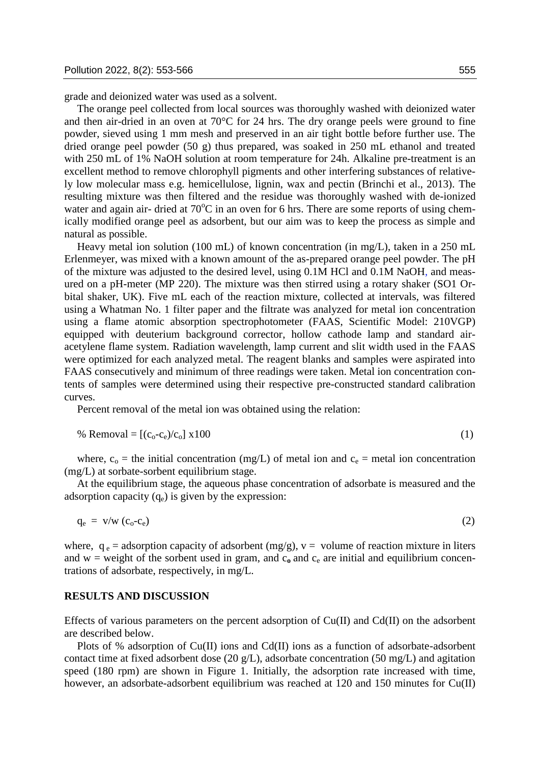grade and deionized water was used as a solvent.

The orange peel collected from local sources was thoroughly washed with deionized water and then air-dried in an oven at  $70^{\circ}$ C for 24 hrs. The dry orange peels were ground to fine powder, sieved using 1 mm mesh and preserved in an air tight bottle before further use. The dried orange peel powder (50 g) thus prepared, was soaked in 250 mL ethanol and treated with 250 mL of 1% NaOH solution at room temperature for 24h. Alkaline pre-treatment is an excellent method to remove chlorophyll pigments and other interfering substances of relatively low molecular mass e.g. hemicellulose, lignin, wax and pectin (Brinchi et al., 2013). The resulting mixture was then filtered and the residue was thoroughly washed with de-ionized water and again air- dried at  $70^{\circ}$ C in an oven for 6 hrs. There are some reports of using chemically modified orange peel as adsorbent, but our aim was to keep the process as simple and natural as possible.

Heavy metal ion solution (100 mL) of known concentration (in mg/L), taken in a 250 mL Erlenmeyer, was mixed with a known amount of the as-prepared orange peel powder. The pH of the mixture was adjusted to the desired level, using 0.1M HCl and 0.1M NaOH, and measured on a pH-meter (MP 220). The mixture was then stirred using a rotary shaker (SO1 Orbital shaker, UK). Five mL each of the reaction mixture, collected at intervals, was filtered using a Whatman No. 1 filter paper and the filtrate was analyzed for metal ion concentration using a flame atomic absorption spectrophotometer (FAAS, Scientific Model: 210VGP) equipped with deuterium background corrector, hollow cathode lamp and standard airacetylene flame system. Radiation wavelength, lamp current and slit width used in the FAAS were optimized for each analyzed metal. The reagent blanks and samples were aspirated into FAAS consecutively and minimum of three readings were taken. Metal ion concentration contents of samples were determined using their respective pre-constructed standard calibration curves.

Percent removal of the metal ion was obtained using the relation:

% Removal = 
$$
[(c_0 - c_e)/c_0] \times 100
$$
 (1)

where,  $c_0$  = the initial concentration (mg/L) of metal ion and  $c_e$  = metal ion concentration (mg/L) at sorbate-sorbent equilibrium stage.

At the equilibrium stage, the aqueous phase concentration of adsorbate is measured and the adsorption capacity  $(q_e)$  is given by the expression:

$$
q_e = v/w (c_o - c_e) \tag{2}
$$

where,  $q_e$  = adsorption capacity of adsorbent (mg/g),  $v =$  volume of reaction mixture in liters and  $w =$  weight of the sorbent used in gram, and  $c_0$  and  $c_e$  are initial and equilibrium concentrations of adsorbate, respectively, in mg/L.

#### **RESULTS AND DISCUSSION**

Effects of various parameters on the percent adsorption of  $Cu(II)$  and  $Cd(II)$  on the adsorbent are described below.

Plots of % adsorption of Cu(II) ions and Cd(II) ions as a function of adsorbate-adsorbent contact time at fixed adsorbent dose (20 g/L), adsorbate concentration (50 mg/L) and agitation speed (180 rpm) are shown in Figure 1. Initially, the adsorption rate increased with time, however, an adsorbate-adsorbent equilibrium was reached at 120 and 150 minutes for Cu(II)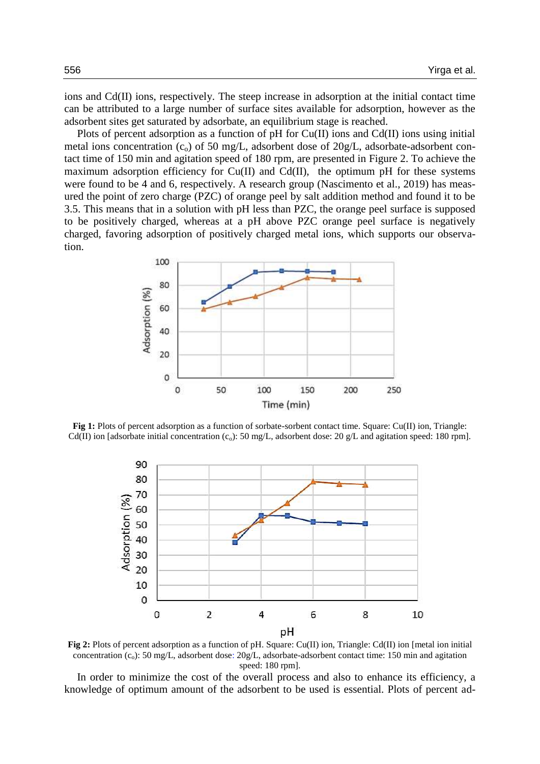ions and Cd(II) ions, respectively. The steep increase in adsorption at the initial contact time can be attributed to a large number of surface sites available for adsorption, however as the adsorbent sites get saturated by adsorbate, an equilibrium stage is reached.

Plots of percent adsorption as a function of pH for Cu(II) ions and Cd(II) ions using initial metal ions concentration  $(c_0)$  of 50 mg/L, adsorbent dose of 20g/L, adsorbate-adsorbent contact time of 150 min and agitation speed of 180 rpm, are presented in Figure 2. To achieve the maximum adsorption efficiency for Cu(II) and Cd(II), the optimum pH for these systems were found to be 4 and 6, respectively. A research group (Nascimento et al., 2019) has measured the point of zero charge (PZC) of orange peel by salt addition method and found it to be 3.5. This means that in a solution with pH less than PZC, the orange peel surface is supposed to be positively charged, whereas at a pH above PZC orange peel surface is negatively charged, favoring adsorption of positively charged metal ions, which supports our observation.



**Fig 1:** Plots of percent adsorption as a function of sorbate-sorbent contact time. Square: Cu(II) ion, Triangle: Cd(II) ion [adsorbate initial concentration  $(c_0)$ : 50 mg/L, adsorbent dose: 20 g/L and agitation speed: 180 rpm].



**Fig 2:** Plots of percent adsorption as a function of pH. Square: Cu(II) ion, Triangle: Cd(II) ion [metal ion initial concentration  $(c_0)$ : 50 mg/L, adsorbent dose: 20g/L, adsorbate-adsorbent contact time: 150 min and agitation speed: 180 rpm].

In order to minimize the cost of the overall process and also to enhance its efficiency, a knowledge of optimum amount of the adsorbent to be used is essential. Plots of percent ad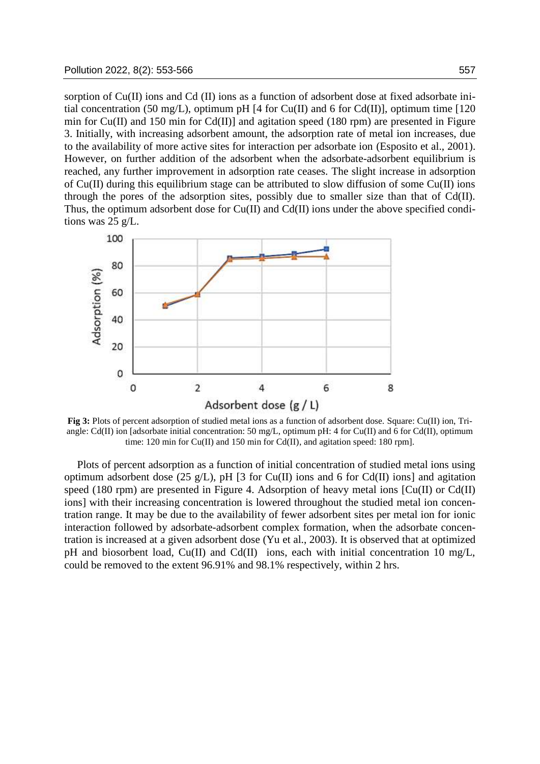sorption of Cu(II) ions and Cd (II) ions as a function of adsorbent dose at fixed adsorbate initial concentration (50 mg/L), optimum pH [4 for Cu(II) and 6 for Cd(II)], optimum time [120 min for Cu(II) and 150 min for Cd(II)] and agitation speed (180 rpm) are presented in Figure 3. Initially, with increasing adsorbent amount, the adsorption rate of metal ion increases, due to the availability of more active sites for interaction per adsorbate ion (Esposito et al., 2001). However, on further addition of the adsorbent when the adsorbate-adsorbent equilibrium is reached, any further improvement in adsorption rate ceases. The slight increase in adsorption of Cu(II) during this equilibrium stage can be attributed to slow diffusion of some Cu(II) ions through the pores of the adsorption sites, possibly due to smaller size than that of Cd(II). Thus, the optimum adsorbent dose for Cu(II) and Cd(II) ions under the above specified conditions was 25 g/L.



**Fig 3:** Plots of percent adsorption of studied metal ions as a function of adsorbent dose. Square: Cu(II) ion, Triangle: Cd(II) ion [adsorbate initial concentration: 50 mg/L, optimum pH: 4 for Cu(II) and 6 for Cd(II), optimum time: 120 min for Cu(II) and 150 min for Cd(II), and agitation speed: 180 rpm].

Plots of percent adsorption as a function of initial concentration of studied metal ions using optimum adsorbent dose (25 g/L), pH [3 for Cu(II) ions and 6 for Cd(II) ions] and agitation speed (180 rpm) are presented in Figure 4. Adsorption of heavy metal ions [Cu(II) or Cd(II) ions] with their increasing concentration is lowered throughout the studied metal ion concentration range. It may be due to the availability of fewer adsorbent sites per metal ion for ionic interaction followed by adsorbate-adsorbent complex formation, when the adsorbate concentration is increased at a given adsorbent dose (Yu et al., 2003). It is observed that at optimized pH and biosorbent load, Cu(II) and Cd(II) ions, each with initial concentration 10 mg/L, could be removed to the extent 96.91% and 98.1% respectively, within 2 hrs.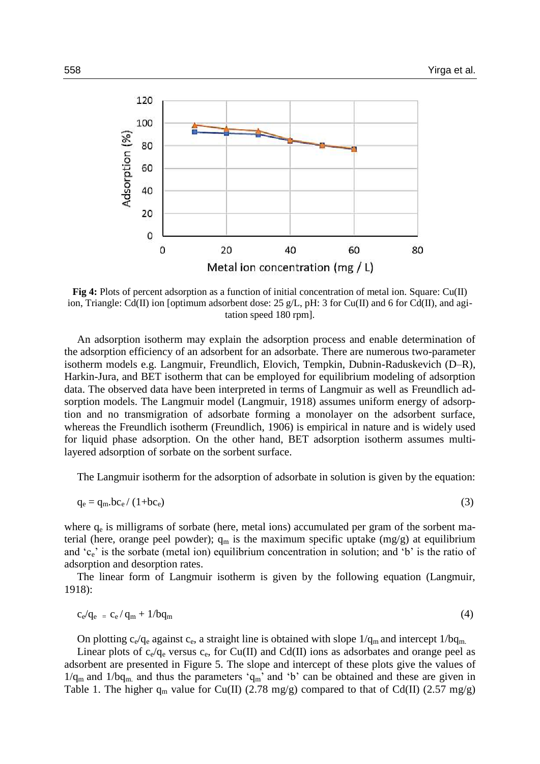

**Fig 4:** Plots of percent adsorption as a function of initial concentration of metal ion. Square: Cu(II) ion, Triangle: Cd(II) ion [optimum adsorbent dose: 25 g/L, pH: 3 for Cu(II) and 6 for Cd(II), and agitation speed 180 rpm].

An adsorption isotherm may explain the adsorption process and enable determination of the adsorption efficiency of an adsorbent for an adsorbate. There are numerous two-parameter isotherm models e.g. Langmuir, Freundlich, Elovich, Tempkin, Dubnin-Raduskevich (D–R), Harkin-Jura, and BET isotherm that can be employed for equilibrium modeling of adsorption data. The observed data have been interpreted in terms of Langmuir as well as Freundlich adsorption models. The Langmuir model (Langmuir, 1918) assumes uniform energy of adsorption and no transmigration of adsorbate forming a monolayer on the adsorbent surface, whereas the Freundlich isotherm (Freundlich, 1906) is empirical in nature and is widely used for liquid phase adsorption. On the other hand, BET adsorption isotherm assumes multilayered adsorption of sorbate on the sorbent surface.

The Langmuir isotherm for the adsorption of adsorbate in solution is given by the equation:

$$
q_e = q_m b c_e / (1 + b c_e)
$$
 (3)

where  $q_e$  is milligrams of sorbate (here, metal ions) accumulated per gram of the sorbent material (here, orange peel powder);  $q_m$  is the maximum specific uptake (mg/g) at equilibrium and 'ce' is the sorbate (metal ion) equilibrium concentration in solution; and 'b' is the ratio of adsorption and desorption rates.

The linear form of Langmuir isotherm is given by the following equation (Langmuir, 1918):

$$
c_e/q_e = c_e/q_m + 1/bq_m \tag{4}
$$

On plotting  $c_e/q_e$  against  $c_e$ , a straight line is obtained with slope  $1/q_m$  and intercept  $1/bq_m$ .

Linear plots of  $c_e/q_e$  versus  $c_e$ , for Cu(II) and Cd(II) ions as adsorbates and orange peel as adsorbent are presented in Figure 5. The slope and intercept of these plots give the values of  $1/q_m$  and  $1/bq_m$  and thus the parameters 'q<sub>m</sub>' and 'b' can be obtained and these are given in Table 1. The higher  $q_m$  value for Cu(II) (2.78 mg/g) compared to that of Cd(II) (2.57 mg/g)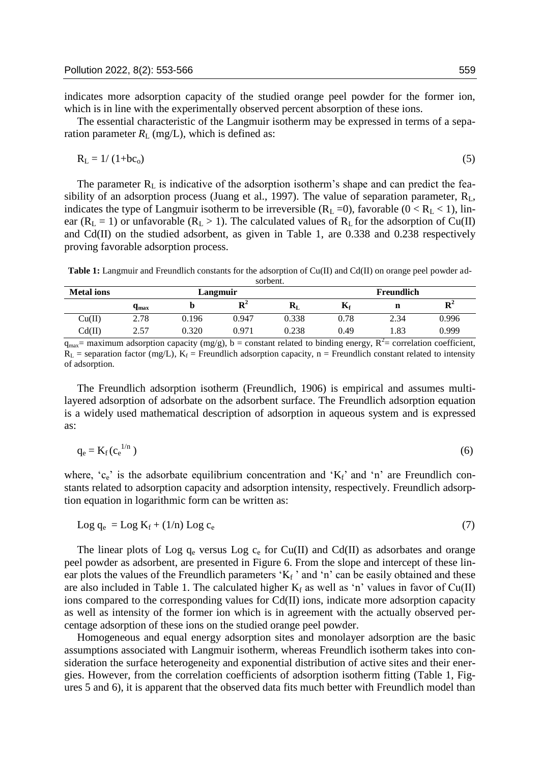indicates more adsorption capacity of the studied orange peel powder for the former ion, which is in line with the experimentally observed percent absorption of these ions.

The essential characteristic of the Langmuir isotherm may be expressed in terms of a separation parameter  $R_L$  (mg/L), which is defined as:

$$
R_{L} = 1/(1+b c_{o})\tag{5}
$$

The parameter  $R_L$  is indicative of the adsorption isotherm's shape and can predict the feasibility of an adsorption process (Juang et al., 1997). The value of separation parameter,  $R_L$ , indicates the type of Langmuir isotherm to be irreversible  $(R_L = 0)$ , favorable  $(0 < R_L < 1)$ , linear ( $R_L = 1$ ) or unfavorable ( $R_L > 1$ ). The calculated values of  $R_L$  for the adsorption of Cu(II) and Cd(II) on the studied adsorbent, as given in Table 1, are 0.338 and 0.238 respectively proving favorable adsorption process.

**Table 1:** Langmuir and Freundlich constants for the adsorption of Cu(II) and Cd(II) on orange peel powder adsorbent.

| <b>Metal</b> ions | Langmuir            |       |             |              | Freundlich |      |             |
|-------------------|---------------------|-------|-------------|--------------|------------|------|-------------|
|                   | $\mathbf{q}_{\max}$ | v     | ${\bf R}^2$ | $\mathbf{r}$ | Δf         | ш    | ${\bf R}^2$ |
| Cu(II)            | 2.78                | 0.196 | 0.947       | 0.338        | 0.78       | 2.34 | 0.996       |
| Cd(II)            | 2.57                | 0.320 | 0.971       | 0.238        | 0.49       | 1.83 | 0.999       |

 $q_{max}$ = maximum adsorption capacity (mg/g), b = constant related to binding energy,  $R^2$ = correlation coefficient,  $R_L$  = separation factor (mg/L),  $K_f$  = Freundlich adsorption capacity, n = Freundlich constant related to intensity of adsorption.

The Freundlich adsorption isotherm (Freundlich, 1906) is empirical and assumes multilayered adsorption of adsorbate on the adsorbent surface. The Freundlich adsorption equation is a widely used mathematical description of adsorption in aqueous system and is expressed as:

$$
q_e = K_f(c_e^{1/n})
$$
 (6)

where,  $c_e$  is the adsorbate equilibrium concentration and  $K_f$  and 'n' are Freundlich constants related to adsorption capacity and adsorption intensity, respectively. Freundlich adsorption equation in logarithmic form can be written as:

$$
Log q_e = Log K_f + (1/n) Log c_e
$$
 (7)

The linear plots of Log  $q_e$  versus Log  $c_e$  for Cu(II) and Cd(II) as adsorbates and orange peel powder as adsorbent, are presented in Figure 6. From the slope and intercept of these linear plots the values of the Freundlich parameters ' $K_f$ ' and 'n' can be easily obtained and these are also included in Table 1. The calculated higher  $K_f$  as well as 'n' values in favor of Cu(II) ions compared to the corresponding values for Cd(II) ions, indicate more adsorption capacity as well as intensity of the former ion which is in agreement with the actually observed percentage adsorption of these ions on the studied orange peel powder.

Homogeneous and equal energy adsorption sites and monolayer adsorption are the basic assumptions associated with Langmuir isotherm, whereas Freundlich isotherm takes into consideration the surface heterogeneity and exponential distribution of active sites and their energies. However, from the correlation coefficients of adsorption isotherm fitting (Table 1, Figures 5 and 6), it is apparent that the observed data fits much better with Freundlich model than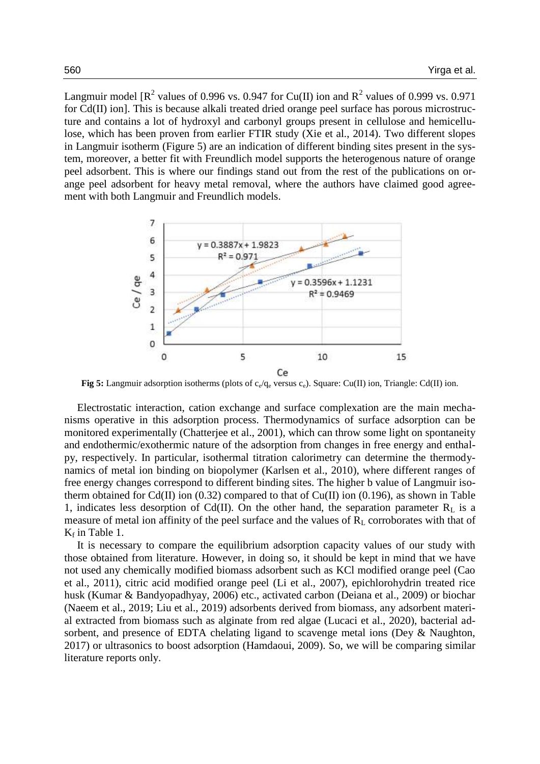Langmuir model [ $R^2$  values of 0.996 vs. 0.947 for Cu(II) ion and  $R^2$  values of 0.999 vs. 0.971 for Cd(II) ion]. This is because alkali treated dried orange peel surface has porous microstructure and contains a lot of hydroxyl and carbonyl groups present in cellulose and hemicellulose, which has been proven from earlier FTIR study (Xie et al., 2014). Two different slopes in Langmuir isotherm (Figure 5) are an indication of different binding sites present in the system, moreover, a better fit with Freundlich model supports the heterogenous nature of orange peel adsorbent. This is where our findings stand out from the rest of the publications on orange peel adsorbent for heavy metal removal, where the authors have claimed good agreement with both Langmuir and Freundlich models.



**Fig 5:** Langmuir adsorption isotherms (plots of  $c_e/q_e$  versus  $c_e$ ). Square: Cu(II) ion, Triangle: Cd(II) ion.

Electrostatic interaction, cation exchange and surface complexation are the main mechanisms operative in this adsorption process. Thermodynamics of surface adsorption can be monitored experimentally (Chatterjee et al., 2001), which can throw some light on spontaneity and endothermic/exothermic nature of the adsorption from changes in free energy and enthalpy, respectively. In particular, isothermal titration calorimetry can determine the thermodynamics of metal ion binding on biopolymer (Karlsen et al., 2010), where different ranges of free energy changes correspond to different binding sites. The higher b value of Langmuir isotherm obtained for Cd(II) ion (0.32) compared to that of Cu(II) ion (0.196), as shown in Table 1, indicates less desorption of Cd(II). On the other hand, the separation parameter  $R_L$  is a measure of metal ion affinity of the peel surface and the values of  $R<sub>L</sub>$  corroborates with that of  $K_f$  in Table 1.

It is necessary to compare the equilibrium adsorption capacity values of our study with those obtained from literature. However, in doing so, it should be kept in mind that we have not used any chemically modified biomass adsorbent such as KCl modified orange peel (Cao et al., 2011), citric acid modified orange peel (Li et al., 2007), epichlorohydrin treated rice husk (Kumar & Bandyopadhyay, 2006) etc., activated carbon (Deiana et al., 2009) or biochar (Naeem et al., 2019; Liu et al., 2019) adsorbents derived from biomass, any adsorbent material extracted from biomass such as alginate from red algae (Lucaci et al., 2020), bacterial adsorbent, and presence of EDTA chelating ligand to scavenge metal ions (Dey & Naughton, 2017) or ultrasonics to boost adsorption (Hamdaoui, 2009). So, we will be comparing similar literature reports only.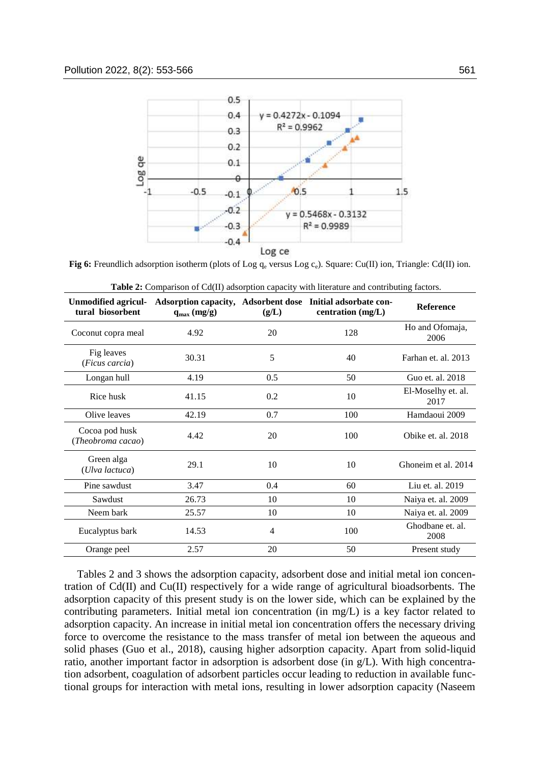

**Fig 6:** Freundlich adsorption isotherm (plots of Log  $q_e$  versus Log  $c_e$ ). Square: Cu(II) ion, Triangle: Cd(II) ion.

| Table 2: Comparison of Cd(II) adsorption capacity with literature and contributing factors. |                 |                |                                                                                 |                            |  |  |  |
|---------------------------------------------------------------------------------------------|-----------------|----------------|---------------------------------------------------------------------------------|----------------------------|--|--|--|
| <b>Unmodified agricul-</b><br>tural biosorbent                                              | $q_{max}(mg/g)$ | (g/L)          | Adsorption capacity, Adsorbent dose Initial adsorbate con-<br>centration (mg/L) | <b>Reference</b>           |  |  |  |
| Coconut copra meal                                                                          | 4.92            | 20             | 128                                                                             | Ho and Ofomaja,<br>2006    |  |  |  |
| Fig leaves<br>(Ficus carcia)                                                                | 30.31           | 5              | 40                                                                              | Farhan et. al. 2013        |  |  |  |
| Longan hull                                                                                 | 4.19            | 0.5            | 50                                                                              | Guo et. al. 2018           |  |  |  |
| Rice husk                                                                                   | 41.15           | 0.2            | 10                                                                              | El-Moselhy et. al.<br>2017 |  |  |  |
| Olive leaves                                                                                | 42.19           | 0.7            | 100                                                                             | Hamdaoui 2009              |  |  |  |
| Cocoa pod husk<br>(Theobroma cacao)                                                         | 4.42            | 20             | 100                                                                             | Obike et. al. 2018         |  |  |  |
| Green alga<br>(Ulva lactuca)                                                                | 29.1            | 10             | 10                                                                              | Ghoneim et al. 2014        |  |  |  |
| Pine sawdust                                                                                | 3.47            | 0.4            | 60                                                                              | Liu et. al. 2019           |  |  |  |
| Sawdust                                                                                     | 26.73           | 10             | 10                                                                              | Naiya et. al. 2009         |  |  |  |
| Neem bark                                                                                   | 25.57           | 10             | 10                                                                              | Naiya et. al. 2009         |  |  |  |
| Eucalyptus bark                                                                             | 14.53           | $\overline{4}$ | 100                                                                             | Ghodbane et. al.<br>2008   |  |  |  |
| Orange peel                                                                                 | 2.57            | $20\,$         | 50                                                                              | Present study              |  |  |  |

Tables 2 and 3 shows the adsorption capacity, adsorbent dose and initial metal ion concentration of Cd(II) and Cu(II) respectively for a wide range of agricultural bioadsorbents. The adsorption capacity of this present study is on the lower side, which can be explained by the contributing parameters. Initial metal ion concentration (in mg/L) is a key factor related to adsorption capacity. An increase in initial metal ion concentration offers the necessary driving force to overcome the resistance to the mass transfer of metal ion between the aqueous and solid phases (Guo et al., 2018), causing higher adsorption capacity. Apart from solid-liquid ratio, another important factor in adsorption is adsorbent dose (in g/L). With high concentration adsorbent, coagulation of adsorbent particles occur leading to reduction in available functional groups for interaction with metal ions, resulting in lower adsorption capacity (Naseem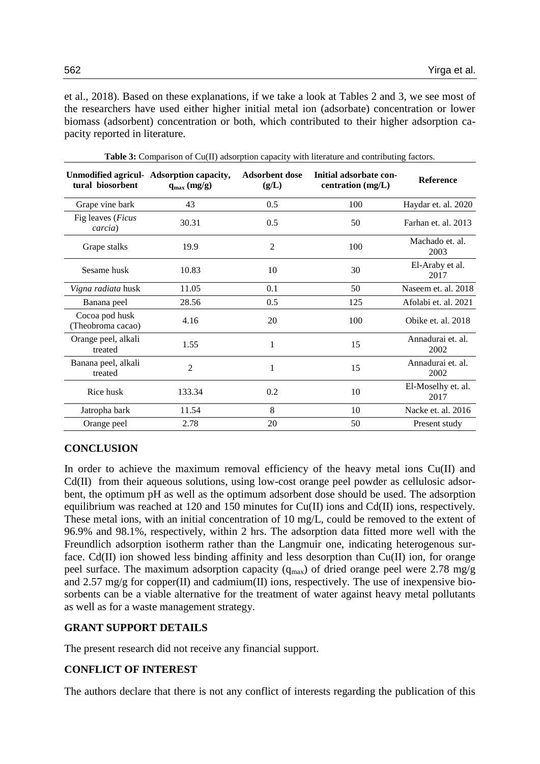et al., 2018). Based on these explanations, if we take a look at Tables 2 and 3, we see most of the researchers have used either higher initial metal ion (adsorbate) concentration or lower biomass (adsorbent) concentration or both, which contributed to their higher adsorption capacity reported in literature.

| tural biosorbent                    | Unmodified agricul- Adsorption capacity,<br>$q_{max}(mg/g)$ | <b>Adsorbent dose</b><br>(g/L) | Initial adsorbate con-<br>centration $(mg/L)$ | <b>Reference</b>           |
|-------------------------------------|-------------------------------------------------------------|--------------------------------|-----------------------------------------------|----------------------------|
| Grape vine bark                     | 43                                                          | 0.5                            | 100                                           | Haydar et. al. 2020        |
| Fig leaves (Ficus<br>carcia)        | 30.31                                                       | 0.5                            | 50                                            | Farhan et. al. 2013        |
| Grape stalks                        | 19.9                                                        | $\overline{2}$                 | 100                                           | Machado et. al.<br>2003    |
| Sesame husk                         | 10.83                                                       | 10                             | 30                                            | El-Araby et al.<br>2017    |
| Vigna radiata husk                  | 11.05                                                       | 0.1                            | 50                                            | Naseem et. al. 2018        |
| Banana peel                         | 28.56                                                       | 0.5                            | 125                                           | Afolabi et. al. 2021       |
| Cocoa pod husk<br>(Theobroma cacao) | 4.16                                                        | 20                             | 100                                           | Obike et. al. 2018         |
| Orange peel, alkali<br>treated      | 1.55                                                        | 1                              | 15                                            | Annadurai et. al.<br>2002  |
| Banana peel, alkali<br>treated      | $\overline{2}$                                              | 1                              | 15                                            | Annadurai et. al.<br>2002  |
| Rice husk                           | 133.34                                                      | 0.2                            | 10                                            | El-Moselhy et. al.<br>2017 |
| Jatropha bark                       | 11.54                                                       | 8                              | 10                                            | Nacke et. al. 2016         |
| Orange peel                         | 2.78                                                        | 20                             | 50                                            | Present study              |

**Table 3:** Comparison of Cu(II) adsorption capacity with literature and contributing factors.

# **CONCLUSION**

In order to achieve the maximum removal efficiency of the heavy metal ions Cu(II) and Cd(II) from their aqueous solutions, using low-cost orange peel powder as cellulosic adsorbent, the optimum pH as well as the optimum adsorbent dose should be used. The adsorption equilibrium was reached at 120 and 150 minutes for Cu(II) ions and Cd(II) ions, respectively. These metal ions, with an initial concentration of 10 mg/L, could be removed to the extent of 96.9% and 98.1%, respectively, within 2 hrs. The adsorption data fitted more well with the Freundlich adsorption isotherm rather than the Langmuir one, indicating heterogenous surface. Cd(II) ion showed less binding affinity and less desorption than Cu(II) ion, for orange peel surface. The maximum adsorption capacity ( $q_{max}$ ) of dried orange peel were 2.78 mg/g and 2.57 mg/g for copper(II) and cadmium(II) ions, respectively. The use of inexpensive biosorbents can be a viable alternative for the treatment of water against heavy metal pollutants as well as for a waste management strategy.

# **GRANT SUPPORT DETAILS**

The present research did not receive any financial support.

# **CONFLICT OF INTEREST**

The authors declare that there is not any conflict of interests regarding the publication of this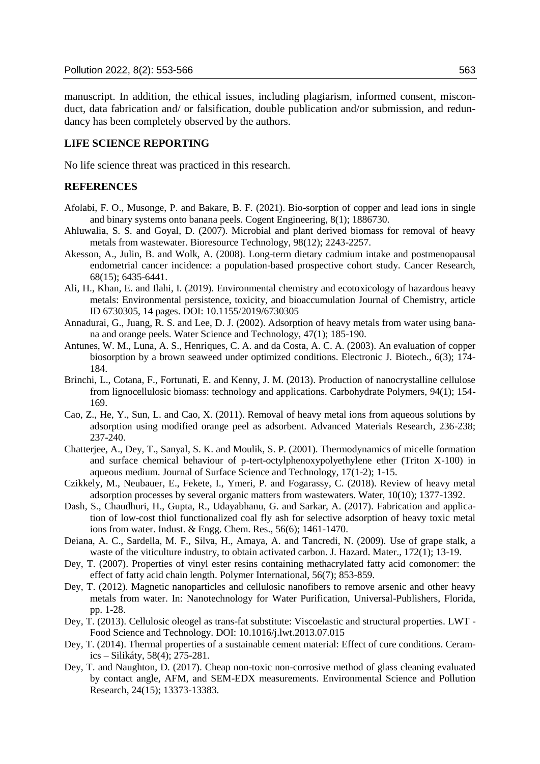manuscript. In addition, the ethical issues, including plagiarism, informed consent, misconduct, data fabrication and/ or falsification, double publication and/or submission, and redundancy has been completely observed by the authors.

### **LIFE SCIENCE REPORTING**

No life science threat was practiced in this research.

### **REFERENCES**

- Afolabi, F. O., Musonge, P. and Bakare, B. F. (2021). Bio-sorption of copper and lead ions in single and binary systems onto banana peels. Cogent Engineering, 8(1); 1886730.
- Ahluwalia, S. S. and Goyal, D. (2007). Microbial and plant derived biomass for removal of heavy metals from wastewater. Bioresource Technology, 98(12); 2243-2257.
- Akesson, A., Julin, B. and Wolk, A. (2008). Long-term dietary cadmium intake and postmenopausal endometrial cancer incidence: a population-based prospective cohort study. Cancer Research, 68(15); 6435-6441.
- Ali, H., Khan, E. and Ilahi, I. (2019). Environmental chemistry and ecotoxicology of hazardous heavy metals: Environmental persistence, toxicity, and bioaccumulation Journal of Chemistry, article ID 6730305, 14 pages. DOI: 10.1155/2019/6730305
- Annadurai, G., Juang, R. S. and Lee, D. J. (2002). Adsorption of heavy metals from water using banana and orange peels. Water Science and Technology, 47(1); 185-190.
- Antunes, W. M., Luna, A. S., Henriques, C. A. and da Costa, A. C. A. (2003). An evaluation of copper biosorption by a brown seaweed under optimized conditions. Electronic J. Biotech., 6(3); 174- 184.
- Brinchi, L., Cotana, F., Fortunati, E. and Kenny, J. M. (2013). Production of nanocrystalline cellulose from lignocellulosic biomass: technology and applications. Carbohydrate Polymers, 94(1); 154- 169.
- Cao, Z., He, Y., Sun, L. and Cao, X. (2011). Removal of heavy metal ions from aqueous solutions by adsorption using modified orange peel as adsorbent. Advanced Materials Research, 236-238; 237-240.
- Chatterjee, A., Dey, T., Sanyal, S. K. and Moulik, S. P. (2001). Thermodynamics of micelle formation and surface chemical behaviour of p-tert-octylphenoxypolyethylene ether (Triton X-100) in aqueous medium. Journal of Surface Science and Technology, 17(1-2); 1-15.
- Czikkely, M., Neubauer, E., Fekete, I., Ymeri, P. and Fogarassy, C. (2018). Review of heavy metal adsorption processes by several organic matters from wastewaters. Water, 10(10); 1377-1392.
- Dash, S., Chaudhuri, H., Gupta, R., Udayabhanu, G. and Sarkar, A. (2017). Fabrication and application of low-cost thiol functionalized coal fly ash for selective adsorption of heavy toxic metal ions from water. Indust. & Engg. Chem. Res., 56(6); 1461-1470.
- Deiana, A. C., Sardella, M. F., Silva, H., Amaya, A. and Tancredi, N. (2009). Use of grape stalk, a waste of the viticulture industry, to obtain activated carbon. J. Hazard. Mater., 172(1); 13-19.
- Dey, T. (2007). Properties of vinyl ester resins containing methacrylated fatty acid comonomer: the effect of fatty acid chain length. Polymer International, 56(7); 853-859.
- Dey, T. (2012). Magnetic nanoparticles and cellulosic nanofibers to remove arsenic and other heavy metals from water. In: Nanotechnology for Water Purification, Universal-Publishers, Florida, pp. 1-28.
- Dey, T. (2013). Cellulosic oleogel as trans-fat substitute: Viscoelastic and structural properties. LWT Food Science and Technology. DOI: 10.1016/j.lwt.2013.07.015
- Dey, T. (2014). Thermal properties of a sustainable cement material: Effect of cure conditions. Ceramics – Silikáty, 58(4); 275-281.
- Dey, T. and Naughton, D. (2017). Cheap non-toxic non-corrosive method of glass cleaning evaluated by contact angle, AFM, and SEM-EDX measurements. Environmental Science and Pollution Research, 24(15); 13373-13383.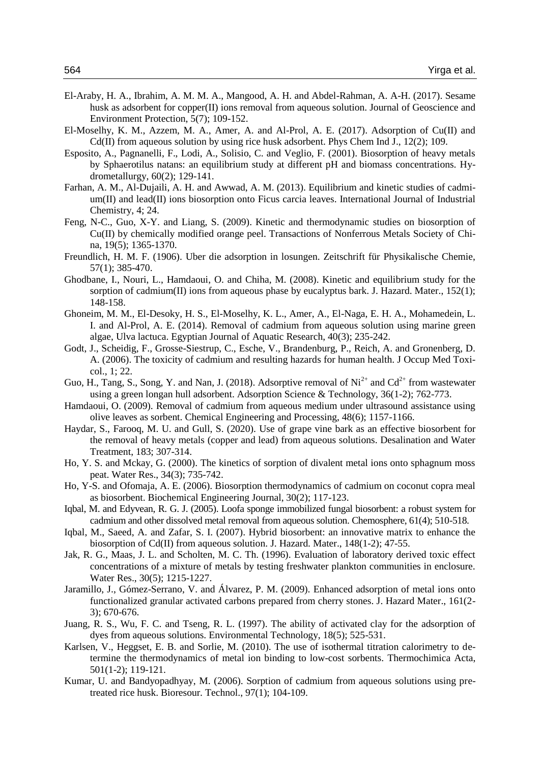- El-Araby, H. A., Ibrahim, A. M. M. A., Mangood, A. H. and Abdel-Rahman, A. A-H. (2017). Sesame husk as adsorbent for copper(II) ions removal from aqueous solution. Journal of Geoscience and Environment Protection, 5(7); 109-152.
- El-Moselhy, K. M., Azzem, M. A., Amer, A. and Al-Prol, A. E. (2017). Adsorption of Cu(II) and Cd(II) from aqueous solution by using rice husk adsorbent. Phys Chem Ind J., 12(2); 109.
- Esposito, A., Pagnanelli, F., Lodi, A., Solisio, C. and Veglio, F. (2001). Biosorption of heavy metals by Sphaerotilus natans: an equilibrium study at different pH and biomass concentrations. Hydrometallurgy, 60(2); 129-141.
- Farhan, A. M., Al-Dujaili, A. H. and Awwad, A. M. (2013). Equilibrium and kinetic studies of cadmium(II) and lead(II) ions biosorption onto Ficus carcia leaves. International Journal of Industrial Chemistry, 4; 24.
- Feng, N-C., Guo, X-Y. and Liang, S. (2009). Kinetic and thermodynamic studies on biosorption of Cu(II) by chemically modified orange peel. Transactions of Nonferrous Metals Society of China, 19(5); 1365-1370.
- Freundlich, H. M. F. (1906). Uber die adsorption in losungen. Zeitschrift für Physikalische Chemie, 57(1); 385-470.
- Ghodbane, I., Nouri, L., Hamdaoui, O. and Chiha, M. (2008). Kinetic and equilibrium study for the sorption of cadmium(II) ions from aqueous phase by eucalyptus bark. J. Hazard. Mater.,  $152(1)$ ; 148-158.
- Ghoneim, M. M., El-Desoky, H. S., El-Moselhy, K. L., Amer, A., El-Naga, E. H. A., Mohamedein, L. I. and Al-Prol, A. E. (2014). Removal of cadmium from aqueous solution using marine green algae, Ulva lactuca. Egyptian Journal of Aquatic Research, 40(3); 235-242.
- Godt, J., Scheidig, F., Grosse-Siestrup, C., Esche, V., Brandenburg, P., Reich, A. and Gronenberg, D. A. (2006). The toxicity of cadmium and resulting hazards for human health. J Occup Med Toxicol., 1; 22.
- Guo, H., Tang, S., Song, Y. and Nan, J. (2018). Adsorptive removal of  $Ni^{2+}$  and  $Cd^{2+}$  from wastewater using a green longan hull adsorbent. Adsorption Science & Technology, 36(1-2); 762-773.
- Hamdaoui, O. (2009). Removal of cadmium from aqueous medium under ultrasound assistance using olive leaves as sorbent. Chemical Engineering and Processing, 48(6); 1157-1166.
- Haydar, S., Farooq, M. U. and Gull, S. (2020). Use of grape vine bark as an effective biosorbent for the removal of heavy metals (copper and lead) from aqueous solutions. Desalination and Water Treatment, 183; 307-314.
- Ho, Y. S. and Mckay, G. (2000). The kinetics of sorption of divalent metal ions onto sphagnum moss peat. Water Res., 34(3); 735-742.
- Ho, Y-S. and Ofomaja, A. E. (2006). Biosorption thermodynamics of cadmium on coconut copra meal as biosorbent. Biochemical Engineering Journal, 30(2); 117-123.
- Iqbal, M. and Edyvean, R. G. J. (2005). Loofa sponge immobilized fungal biosorbent: a robust system for cadmium and other dissolved metal removal from aqueous solution. Chemosphere, 61(4); 510-518.
- Iqbal, M., Saeed, A. and Zafar, S. I. (2007). Hybrid biosorbent: an innovative matrix to enhance the biosorption of Cd(II) from aqueous solution. J. Hazard. Mater., 148(1-2); 47-55.
- Jak, R. G., Maas, J. L. and Scholten, M. C. Th. (1996). Evaluation of laboratory derived toxic effect concentrations of a mixture of metals by testing freshwater plankton communities in enclosure. Water Res., 30(5); 1215-1227.
- Jaramillo, J., Gómez-Serrano, V. and Álvarez, P. M. (2009). Enhanced adsorption of metal ions onto functionalized granular activated carbons prepared from cherry stones. J. Hazard Mater., 161(2- 3); 670-676.
- Juang, R. S., Wu, F. C. and Tseng, R. L. (1997). The ability of activated clay for the adsorption of dyes from aqueous solutions. Environmental Technology, 18(5); 525-531.
- Karlsen, V., Heggset, E. B. and Sorlie, M. (2010). The use of isothermal titration calorimetry to determine the thermodynamics of metal ion binding to low-cost sorbents. Thermochimica Acta, 501(1-2); 119-121.
- Kumar, U. and Bandyopadhyay, M. (2006). Sorption of cadmium from aqueous solutions using pretreated rice husk. Bioresour. Technol., 97(1); 104-109.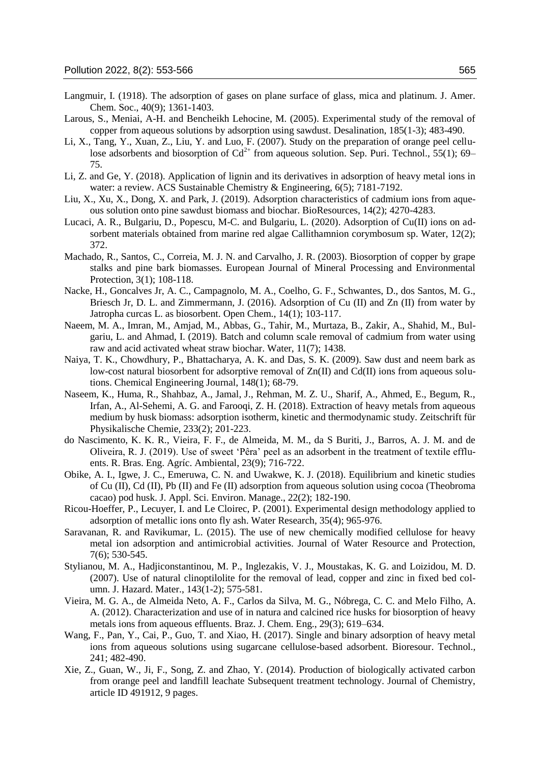- Langmuir, I. (1918). The adsorption of gases on plane surface of glass, mica and platinum. J. Amer. Chem. Soc., 40(9); 1361-1403.
- Larous, S., Meniai, A-H. and Bencheikh Lehocine, M. (2005). Experimental study of the removal of copper from aqueous solutions by adsorption using sawdust. Desalination, 185(1-3); 483-490.
- Li, X., Tang, Y., Xuan, Z., Liu, Y. and Luo, F. (2007). Study on the preparation of orange peel cellulose adsorbents and biosorption of  $Cd^{2+}$  from aqueous solution. Sep. Puri. Technol., 55(1); 69– 75.
- Li, Z. and Ge, Y. (2018). Application of lignin and its derivatives in adsorption of heavy metal ions in water: a review. ACS Sustainable Chemistry & Engineering, 6(5); 7181-7192.
- Liu, X., Xu, X., Dong, X. and Park, J. (2019). Adsorption characteristics of cadmium ions from aqueous solution onto pine sawdust biomass and biochar. BioResources, 14(2); 4270-4283.
- Lucaci, A. R., Bulgariu, D., Popescu, M-C. and Bulgariu, L. (2020). Adsorption of Cu(II) ions on adsorbent materials obtained from marine red algae Callithamnion corymbosum sp. Water, 12(2); 372.
- Machado, R., Santos, C., Correia, M. J. N. and Carvalho, J. R. (2003). Biosorption of copper by grape stalks and pine bark biomasses. European Journal of Mineral Processing and Environmental Protection, 3(1); 108-118.
- Nacke, H., Goncalves Jr, A. C., Campagnolo, M. A., Coelho, G. F., Schwantes, D., dos Santos, M. G., Briesch Jr, D. L. and Zimmermann, J. (2016). Adsorption of Cu (II) and Zn (II) from water by Jatropha curcas L. as biosorbent. Open Chem., 14(1); 103-117.
- Naeem, M. A., Imran, M., Amjad, M., Abbas, G., Tahir, M., Murtaza, B., Zakir, A., Shahid, M., Bulgariu, L. and Ahmad, I. (2019). Batch and column scale removal of cadmium from water using raw and acid activated wheat straw biochar. Water, 11(7); 1438.
- Naiya, T. K., Chowdhury, P., Bhattacharya, A. K. and Das, S. K. (2009). Saw dust and neem bark as low-cost natural biosorbent for adsorptive removal of  $Zn(\Pi)$  and  $Cd(\Pi)$  ions from aqueous solutions. Chemical Engineering Journal, 148(1); 68-79.
- Naseem, K., Huma, R., Shahbaz, A., Jamal, J., Rehman, M. Z. U., Sharif, A., Ahmed, E., Begum, R., Irfan, A., Al-Sehemi, A. G. and Farooqi, Z. H. (2018). Extraction of heavy metals from aqueous medium by husk biomass: adsorption isotherm, kinetic and thermodynamic study. Zeitschrift für Physikalische Chemie, 233(2); 201-223.
- do Nascimento, K. K. R., Vieira, F. F., de Almeida, M. M., da S Buriti, J., Barros, A. J. M. and de Oliveira, R. J. (2019). Use of sweet 'Pêra' peel as an adsorbent in the treatment of textile effluents. R. Bras. Eng. Agríc. Ambiental, 23(9); 716-722.
- Obike, A. I., Igwe, J. C., Emeruwa, C. N. and Uwakwe, K. J. (2018). Equilibrium and kinetic studies of Cu (II), Cd (II), Pb (II) and Fe (II) adsorption from aqueous solution using cocoa (Theobroma cacao) pod husk. J. Appl. Sci. Environ. Manage., 22(2); 182-190.
- Ricou-Hoeffer, P., Lecuyer, I. and Le Cloirec, P. (2001). Experimental design methodology applied to adsorption of metallic ions onto fly ash. Water Research, 35(4); 965-976.
- Saravanan, R. and Ravikumar, L. (2015). The use of new chemically modified cellulose for heavy metal ion adsorption and antimicrobial activities. Journal of Water Resource and Protection, 7(6); 530-545.
- Stylianou, M. A., Hadjiconstantinou, M. P., Inglezakis, V. J., Moustakas, K. G. and Loizidou, M. D. (2007). Use of natural clinoptilolite for the removal of lead, copper and zinc in fixed bed column. J. Hazard. Mater., 143(1-2); 575-581.
- Vieira, M. G. A., de Almeida Neto, A. F., Carlos da Silva, M. G., Nóbrega, C. C. and Melo Filho, A. A. (2012). Characterization and use of in natura and calcined rice husks for biosorption of heavy metals ions from aqueous effluents. Braz. J. Chem. Eng., 29(3); 619–634.
- Wang, F., Pan, Y., Cai, P., Guo, T. and Xiao, H. (2017). Single and binary adsorption of heavy metal ions from aqueous solutions using sugarcane cellulose-based adsorbent. Bioresour. Technol., 241; 482-490.
- Xie, Z., Guan, W., Ji, F., Song, Z. and Zhao, Y. (2014). Production of biologically activated carbon from orange peel and landfill leachate Subsequent treatment technology. Journal of Chemistry, article ID 491912, 9 pages.